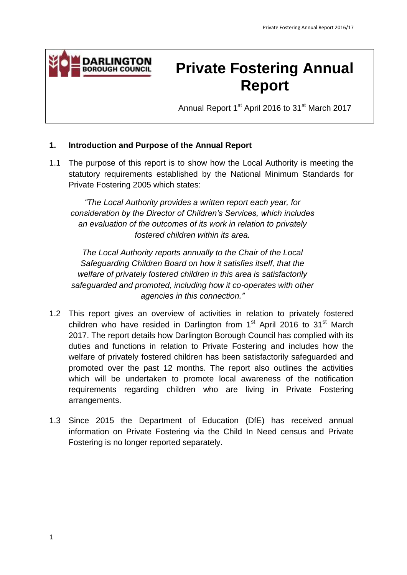

# **Private Fostering Annual Report**

Annual Report 1<sup>st</sup> April 2016 to 31<sup>st</sup> March 2017

# **1. Introduction and Purpose of the Annual Report**

 $1.1$  statutory requirements established by the National Minimum Standards for Private Fostering 2005 which states: The purpose of this report is to show how the Local Authority is meeting the

 *an evaluation of the outcomes of its work in relation to privately "The Local Authority provides a written report each year, for consideration by the Director of Children's Services, which includes fostered children within its area.* 

 *Safeguarding Children Board on how it satisfies itself, that the The Local Authority reports annually to the Chair of the Local welfare of privately fostered children in this area is satisfactorily safeguarded and promoted, including how it co-operates with other agencies in this connection."* 

- 1.2 This report gives an overview of activities in relation to privately fostered children who have resided in Darlington from  $1<sup>st</sup>$  April 2016 to 31 $<sup>st</sup>$  March</sup> 2017. The report details how Darlington Borough Council has complied with its duties and functions in relation to Private Fostering and includes how the welfare of privately fostered children has been satisfactorily safeguarded and promoted over the past 12 months. The report also outlines the activities which will be undertaken to promote local awareness of the notification requirements regarding children who are living in Private Fostering arrangements.
- arrangements. 1.3 Since 2015 the Department of Education (DfE) has received annual information on Private Fostering via the Child In Need census and Private Fostering is no longer reported separately.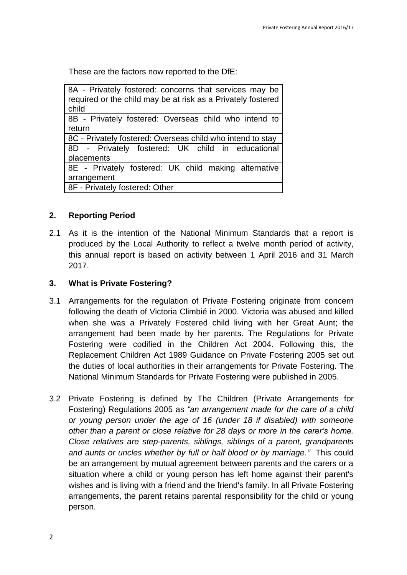These are the factors now reported to the DfE:

| 8A - Privately fostered: concerns that services may be<br>required or the child may be at risk as a Privately fostered<br>child |
|---------------------------------------------------------------------------------------------------------------------------------|
| 8B - Privately fostered: Overseas child who intend to                                                                           |
| return                                                                                                                          |
| 8C - Privately fostered: Overseas child who intend to stay                                                                      |
| 8D - Privately fostered: UK child in educational                                                                                |
| placements                                                                                                                      |
| 8E - Privately fostered: UK child making alternative                                                                            |
| arrangement                                                                                                                     |
| 8F - Privately fostered: Other                                                                                                  |

# **2. Reporting Period**

2.1 As it is the intention of the National Minimum Standards that a report is produced by the Local Authority to reflect a twelve month period of activity, this annual report is based on activity between 1 April 2016 and 31 March 2017.

#### $3.$ **3. What is Private Fostering?**

- 3.1 Arrangements for the regulation of Private Fostering originate from concern following the death of Victoria Climbié in 2000. Victoria was abused and killed when she was a Privately Fostered child living with her Great Aunt; the arrangement had been made by her parents. The Regulations for Private Fostering were codified in the Children Act 2004. Following this, the Replacement Children Act 1989 Guidance on Private Fostering 2005 set out the duties of local authorities in their arrangements for Private Fostering. The National Minimum Standards for Private Fostering were published in 2005.
- 3.2 Private Fostering is defined by The Children (Private Arrangements for Fostering) Regulations 2005 as *"an arrangement made for the care of a child or young person under the age of 16 (under 18 if disabled) with someone other than a parent or close relative for 28 days or more in the carer's home. Close relatives are step-parents, siblings, siblings of a parent, grandparents and aunts or uncles whether by full or half blood or by marriage."* This could be an arrangement by mutual agreement between parents and the carers or a situation where a child or young person has left home against their parent's wishes and is living with a friend and the friend's family. In all Private Fostering arrangements, the parent retains [parental responsibility](http://trixresources.proceduresonline.com/nat_key/keywords/parental_respons.html) for the child or young person.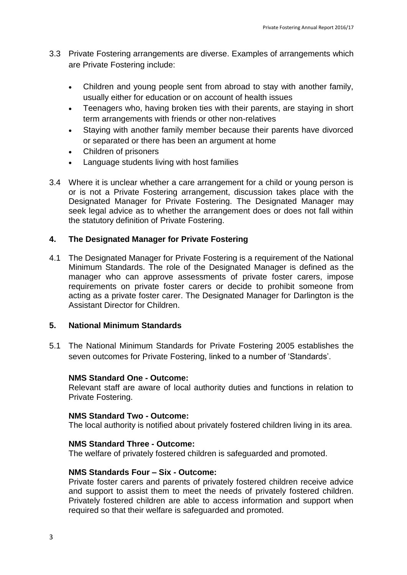- 3.3 Private Fostering arrangements are diverse. Examples of arrangements which are Private Fostering include:
	- Children and young people sent from abroad to stay with another family, usually either for education or on account of health issues
	- Teenagers who, having broken ties with their parents, are staying in short term arrangements with friends or other non-relatives
	- Staying with another family member because their parents have divorced or separated or there has been an argument at home
	- Children of prisoners
	- Language students living with host families
- 3.4 Where it is unclear whether a care arrangement for a child or young person is or is not a Private Fostering arrangement, discussion takes place with the the statutory definition of Private Fostering. Designated Manager for Private Fostering. The Designated Manager may seek legal advice as to whether the arrangement does or does not fall within

# **4. The Designated Manager for Private Fostering**

4.1 The Designated Manager for Private Fostering is a requirement of the National Minimum Standards. The role of the Designated Manager is defined as the manager who can approve assessments of private foster carers, impose requirements on private foster carers or decide to prohibit someone from acting as a private foster carer. The Designated Manager for Darlington is the Assistant Director for Children.

# **5. National Minimum Standards**

 $5.1$ The National Minimum Standards for Private Fostering 2005 establishes the seven outcomes for Private Fostering, linked to a number of 'Standards'.

# **NMS Standard One - Outcome:**

 Relevant staff are aware of local authority duties and functions in relation to Private Fostering.

#### **NMS Standard Two - Outcome:**

The local authority is notified about privately fostered children living in its area.

#### **NMS Standard Three - Outcome:**

The welfare of privately fostered children is safeguarded and promoted.

# **NMS Standards Four – Six - Outcome:**

 Private foster carers and parents of privately fostered children receive advice and support to assist them to meet the needs of privately fostered children. Privately fostered children are able to access information and support when required so that their welfare is safeguarded and promoted.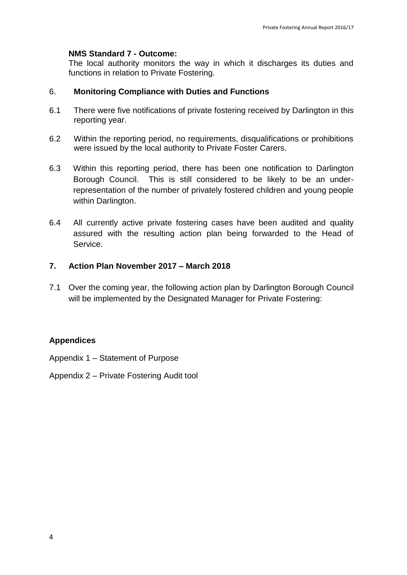# **NMS Standard 7 - Outcome:**

 The local authority monitors the way in which it discharges its duties and functions in relation to Private Fostering.

#### 6. **Monitoring Compliance with Duties and Functions**

- 6.1 There were five notifications of private fostering received by Darlington in this reporting year.
- 6.2 Within the reporting period, no requirements, disqualifications or prohibitions were issued by the local authority to Private Foster Carers.
- 6.3 Borough Council. This is still considered to be likely to be an under- representation of the number of privately fostered children and young people within Darlington. Within this reporting period, there has been one notification to Darlington
- $6.4$  assured with the resulting action plan being forwarded to the Head of All currently active private fostering cases have been audited and quality Service.

# **7. Action Plan November 2017 – March 2018**

7.1 Over the coming year, the following action plan by Darlington Borough Council will be implemented by the Designated Manager for Private Fostering:

# **Appendices**

Appendix 1 – Statement of Purpose

Appendix 2 – Private Fostering Audit tool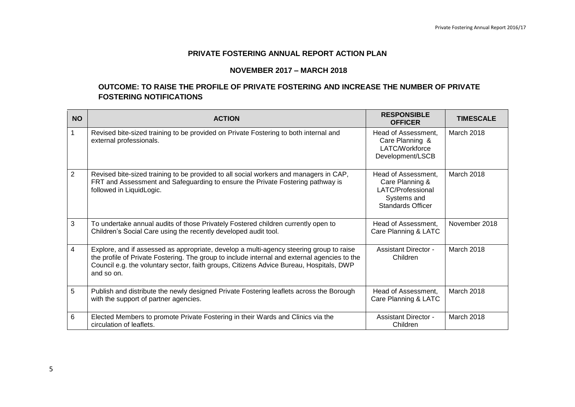#### **PRIVATE FOSTERING ANNUAL REPORT ACTION PLAN**

#### **NOVEMBER 2017 – MARCH 2018**

#### **OUTCOME: TO RAISE THE PROFILE OF PRIVATE FOSTERING AND INCREASE THE NUMBER OF PRIVATE FOSTERING NOTIFICATIONS**

| <b>FOSTERING NOTIFICATIONS</b> |                                                                                                                                                                                                                                                                                                  |                                                                                                        |                  |  |
|--------------------------------|--------------------------------------------------------------------------------------------------------------------------------------------------------------------------------------------------------------------------------------------------------------------------------------------------|--------------------------------------------------------------------------------------------------------|------------------|--|
| <b>NO</b>                      | <b>ACTION</b>                                                                                                                                                                                                                                                                                    | <b>RESPONSIBLE</b><br><b>OFFICER</b>                                                                   | <b>TIMESCALE</b> |  |
|                                | Revised bite-sized training to be provided on Private Fostering to both internal and<br>external professionals.                                                                                                                                                                                  | Head of Assessment,<br>Care Planning &<br>LATC/Workforce<br>Development/LSCB                           | March 2018       |  |
| $\overline{2}$                 | Revised bite-sized training to be provided to all social workers and managers in CAP,<br>FRT and Assessment and Safeguarding to ensure the Private Fostering pathway is<br>followed in LiquidLogic.                                                                                              | Head of Assessment,<br>Care Planning &<br>LATC/Professional<br>Systems and<br><b>Standards Officer</b> | March 2018       |  |
| 3                              | To undertake annual audits of those Privately Fostered children currently open to<br>Children's Social Care using the recently developed audit tool.                                                                                                                                             | Head of Assessment,<br>Care Planning & LATC                                                            | November 2018    |  |
| 4                              | Explore, and if assessed as appropriate, develop a multi-agency steering group to raise<br>the profile of Private Fostering. The group to include internal and external agencies to the<br>Council e.g. the voluntary sector, faith groups, Citizens Advice Bureau, Hospitals, DWP<br>and so on. | <b>Assistant Director -</b><br>Children                                                                | March 2018       |  |
| 5                              | Publish and distribute the newly designed Private Fostering leaflets across the Borough<br>with the support of partner agencies.                                                                                                                                                                 | Head of Assessment,<br>Care Planning & LATC                                                            | March 2018       |  |
| 6                              | Elected Members to promote Private Fostering in their Wards and Clinics via the<br>circulation of leaflets.                                                                                                                                                                                      | <b>Assistant Director -</b><br>Children                                                                | March 2018       |  |